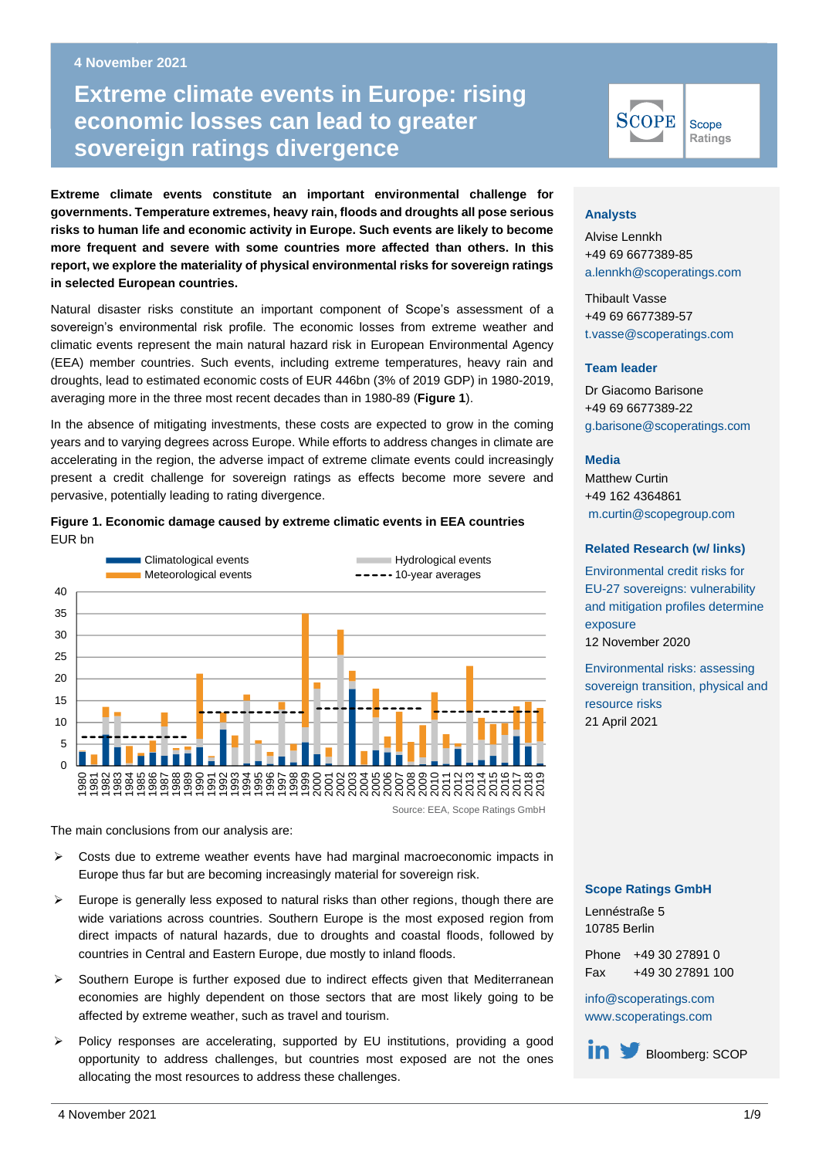#### **4 November 2021 Business Line**

# **Extreme climate events in Europe: rising economic losses Extreme climate events in Europe: rising**  $\blacksquare$ **economic losses can lead to greater sovereign ratings divergence**

**Extreme climate events constitute an important environmental challenge for governments. Temperature extremes, heavy rain, floods and droughts all pose serious risks to human life and economic activity in Europe. Such events are likely to become more frequent and severe with some countries more affected than others. In this report, we explore the materiality of physical environmental risks for sovereign ratings in selected European countries.**

Natural disaster risks constitute an important component of Scope's assessment of a sovereign's environmental risk profile. The economic losses from extreme weather and climatic events represent the main natural hazard risk in European Environmental Agency (EEA) member countries. Such events, including extreme temperatures, heavy rain and droughts, lead to estimated economic costs of EUR 446bn (3% of 2019 GDP) in 1980-2019, averaging more in the three most recent decades than in 1980-89 (**Figure 1**).

In the absence of mitigating investments, these costs are expected to grow in the coming years and to varying degrees across Europe. While efforts to address changes in climate are accelerating in the region, the adverse impact of extreme climate events could increasingly present a credit challenge for sovereign ratings as effects become more severe and pervasive, potentially leading to rating divergence.





The main conclusions from our analysis are:

- $\triangleright$  Costs due to extreme weather events have had marginal macroeconomic impacts in Europe thus far but are becoming increasingly material for sovereign risk.
- $\triangleright$  Europe is generally less exposed to natural risks than other regions, though there are wide variations across countries. Southern Europe is the most exposed region from direct impacts of natural hazards, due to droughts and coastal floods, followed by countries in Central and Eastern Europe, due mostly to inland floods.
- $\triangleright$  Southern Europe is further exposed due to indirect effects given that Mediterranean economies are highly dependent on those sectors that are most likely going to be affected by extreme weather, such as travel and tourism.
- ➢ Policy responses are accelerating, supported by EU institutions, providing a good opportunity to address challenges, but countries most exposed are not the ones allocating the most resources to address these challenges.



### **Analysts**

Alvise Lennkh +49 69 6677389-85 [a.lennkh@scoperatings.com](mailto:a.lennkh@scoperatings.com)

Thibault Vasse +49 69 6677389-57 [t.vasse@scoperatings.com](mailto:t.vasse@scoperatings.com)

#### **Team leader**

Dr Giacomo Barisone +49 69 6677389-22 [g.barisone@scoperatings.com](mailto:g.barisone@scoperatings.com)

#### **Media**

Matthew Curtin +49 162 4364861 [m.curtin@scopegroup.com](mailto:%20m.curtin@scopegroup.com)

### **Related Research (w/ links)**

[Environmental credit risks for](https://www.scoperatings.com/ScopeRatingsApi/api/downloadstudy?id=34cdc2e8-17f8-4cbb-a2cf-af6a59997fae)  [EU-27 sovereigns: vulnerability](https://www.scoperatings.com/ScopeRatingsApi/api/downloadstudy?id=34cdc2e8-17f8-4cbb-a2cf-af6a59997fae)  [and mitigation profiles determine](https://www.scoperatings.com/ScopeRatingsApi/api/downloadstudy?id=34cdc2e8-17f8-4cbb-a2cf-af6a59997fae)  [exposure](https://www.scoperatings.com/ScopeRatingsApi/api/downloadstudy?id=34cdc2e8-17f8-4cbb-a2cf-af6a59997fae) 12 November 2020

[Environmental risks: assessing](https://www.scoperatings.com/ScopeRatingsApi/api/downloadstudy?id=0d595500-df91-43c2-8ffa-3f2e7644b445)  [sovereign transition, physical and](https://www.scoperatings.com/ScopeRatingsApi/api/downloadstudy?id=0d595500-df91-43c2-8ffa-3f2e7644b445)  [resource risks](https://www.scoperatings.com/ScopeRatingsApi/api/downloadstudy?id=0d595500-df91-43c2-8ffa-3f2e7644b445) 21 April 2021

#### **Scope Ratings GmbH**

Lennéstraße 5 10785 Berlin

Phone +49 30 27891 0 Fax +49 30 27891 100

[info@scoperatings.com](mailto:info@scoperatings.com) [www.scoperatings.com](https://www.scoperatings.com/)

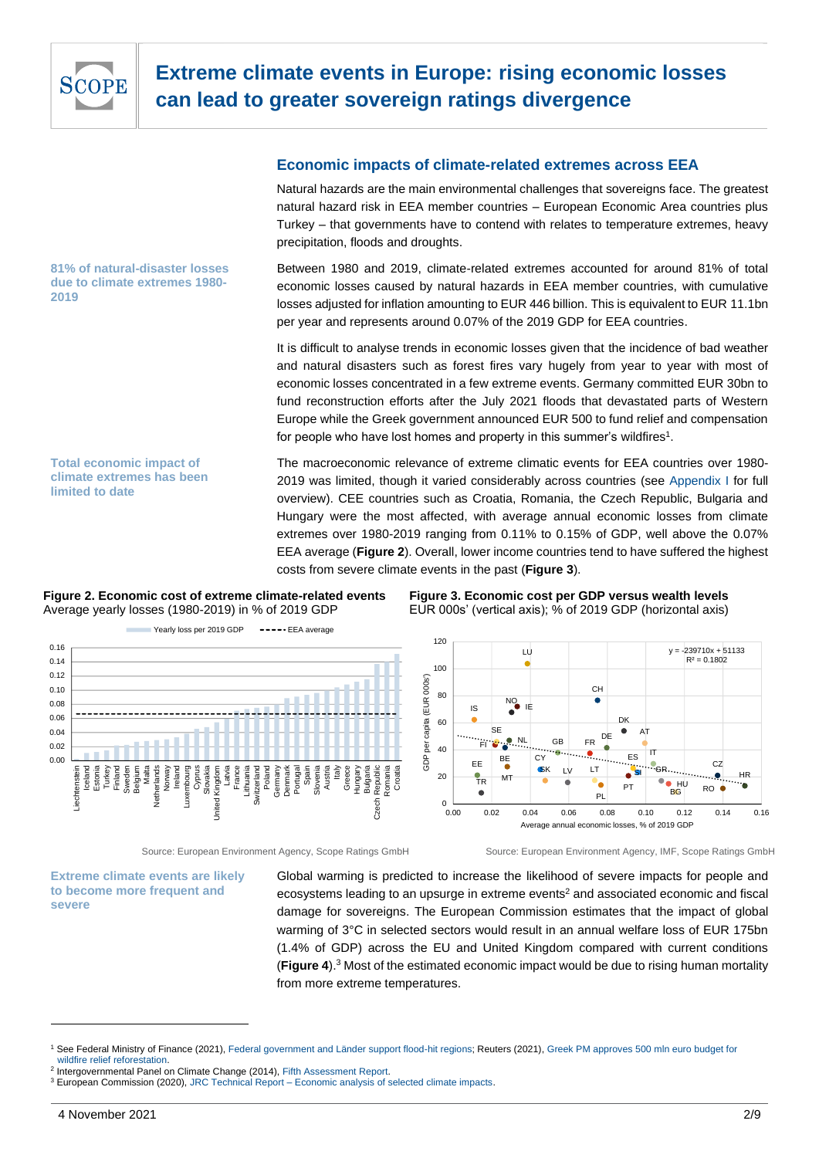

**81% of natural-disaster losses due to climate extremes 1980- 2019**

# **Economic impacts of climate-related extremes across EEA**

Natural hazards are the main environmental challenges that sovereigns face. The greatest natural hazard risk in EEA member countries – European Economic Area countries plus Turkey – that governments have to contend with relates to temperature extremes, heavy precipitation, floods and droughts.

Between 1980 and 2019, climate-related extremes accounted for around 81% of total economic losses caused by natural hazards in EEA member countries, with cumulative losses adjusted for inflation amounting to EUR 446 billion. This is equivalent to EUR 11.1bn per year and represents around 0.07% of the 2019 GDP for EEA countries.

It is difficult to analyse trends in economic losses given that the incidence of bad weather and natural disasters such as forest fires vary hugely from year to year with most of economic losses concentrated in a few extreme events. Germany committed EUR 30bn to fund reconstruction efforts after the July 2021 floods that devastated parts of Western Europe while the Greek government announced EUR 500 to fund relief and compensation for people who have lost homes and property in this summer's wildfires<sup>1</sup>.

**Total economic impact of climate extremes has been limited to date**

The macroeconomic relevance of extreme climatic events for EEA countries over 1980- 2019 was limited, though it varied considerably across countries (see [Appendix I](#page-6-0) for full overview). CEE countries such as Croatia, Romania, the Czech Republic, Bulgaria and Hungary were the most affected, with average annual economic losses from climate extremes over 1980-2019 ranging from 0.11% to 0.15% of GDP, well above the 0.07% EEA average (**Figure 2**). Overall, lower income countries tend to have suffered the highest costs from severe climate events in the past (**Figure 3**).

#### **Figure 2. Economic cost of extreme climate-related events** Average yearly losses (1980-2019) in % of 2019 GDP



### **Figure 3. Economic cost per GDP versus wealth levels** EUR 000s' (vertical axis); % of 2019 GDP (horizontal axis)



Source: European Environment Agency, Scope Ratings GmbH Source: European Environment Agency, IMF, Scope Ratings GmbH

**Extreme climate events are likely to become more frequent and severe**

Global warming is predicted to increase the likelihood of severe impacts for people and ecosystems leading to an upsurge in extreme events<sup>2</sup> and associated economic and fiscal damage for sovereigns. The European Commission estimates that the impact of global warming of 3°C in selected sectors would result in an annual welfare loss of EUR 175bn (1.4% of GDP) across the EU and United Kingdom compared with current conditions (**Figure 4**). <sup>3</sup> Most of the estimated economic impact would be due to rising human mortality from more extreme temperatures.

<sup>&</sup>lt;sup>1</sup> See Federal Ministry of Finance (2021)[, Federal government and Länder support flood-hit regions;](https://www.bundesfinanzministerium.de/Content/EN/Pressemitteilungen/2021/2021-08-18-flood-relief-fund.html) Reuters (2021), Greek PM approves 500 mln euro budget for [wildfire relief reforestation.](https://www.reuters.com/world/europe/greek-pm-approves-500-mln-euro-budget-wildfire-relief-reforestation-2021-08-09/)

<sup>&</sup>lt;sup>2</sup> Intergovernmental Panel on Climate Change (2014)[, Fifth Assessment Report.](https://www.ipcc.ch/site/assets/uploads/2018/02/SYR_AR5_FINAL_full.pdf)

<sup>3</sup> European Commission (2020), JRC Technical Report – [Economic analysis of selected climate impacts.](https://publications.jrc.ec.europa.eu/repository/handle/JRC120452)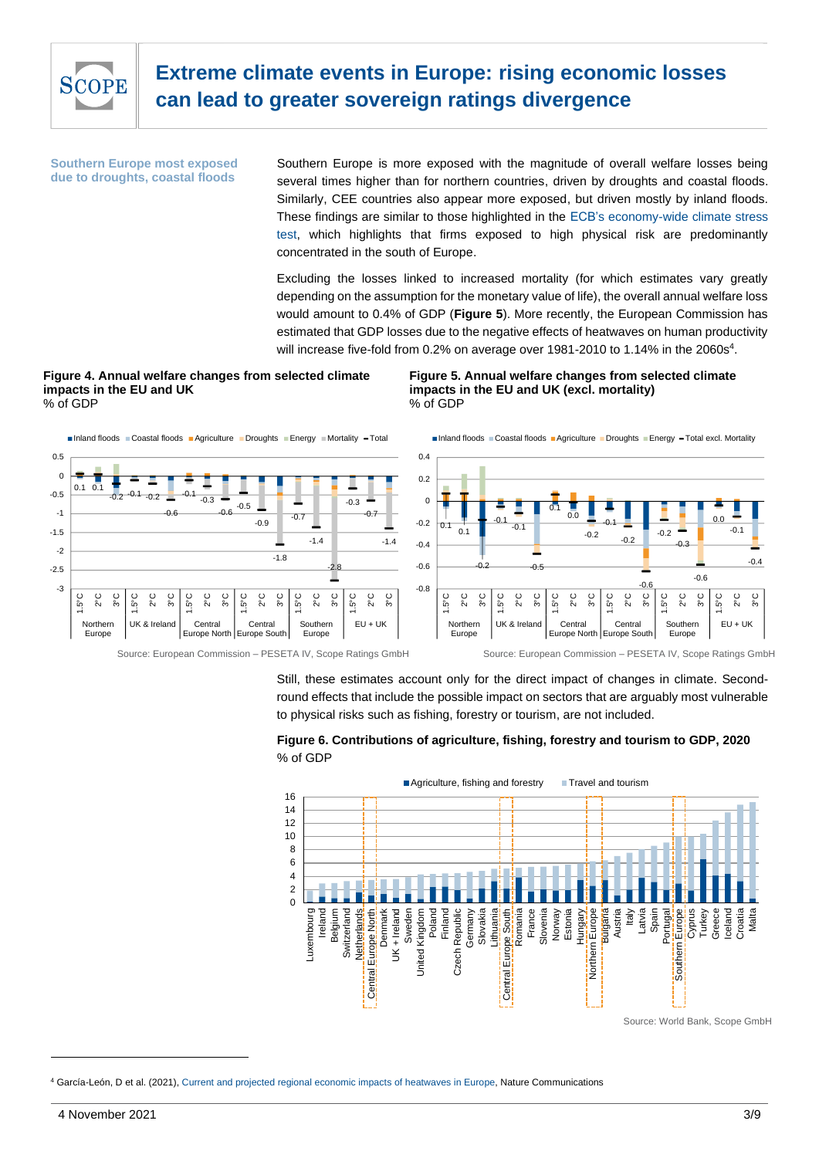

**Southern Europe most exposed due to droughts, coastal floods**

Southern Europe is more exposed with the magnitude of overall welfare losses being several times higher than for northern countries, driven by droughts and coastal floods. Similarly, CEE countries also appear more exposed, but driven mostly by inland floods. These findings are similar to those highlighted in the [ECB's economy-wide climate stress](https://www.ecb.europa.eu/pub/pdf/scpops/ecb.op281~05a7735b1c.en.pdf)  [test,](https://www.ecb.europa.eu/pub/pdf/scpops/ecb.op281~05a7735b1c.en.pdf) which highlights that firms exposed to high physical risk are predominantly concentrated in the south of Europe.

Excluding the losses linked to increased mortality (for which estimates vary greatly depending on the assumption for the monetary value of life), the overall annual welfare loss would amount to 0.4% of GDP (**Figure 5**). More recently, the European Commission has estimated that GDP losses due to the negative effects of heatwaves on human productivity will increase five-fold from 0.2% on average over 1981-2010 to 1.14% in the 2060s<sup>4</sup>.

#### **Figure 4. Annual welfare changes from selected climate impacts in the EU and UK** % of GDP



Source: European Commission – PESETA IV, Scope Ratings GmbH Source: European Commission – PESETA IV, Scope Ratings GmbH

**Figure 5. Annual welfare changes from selected climate impacts in the EU and UK (excl. mortality)** % of GDP



■Inland floods Coastal floods Agriculture Droughts Energy - Total excl. Mortality

Still, these estimates account only for the direct impact of changes in climate. Secondround effects that include the possible impact on sectors that are arguably most vulnerable

to physical risks such as fishing, forestry or tourism, are not included.



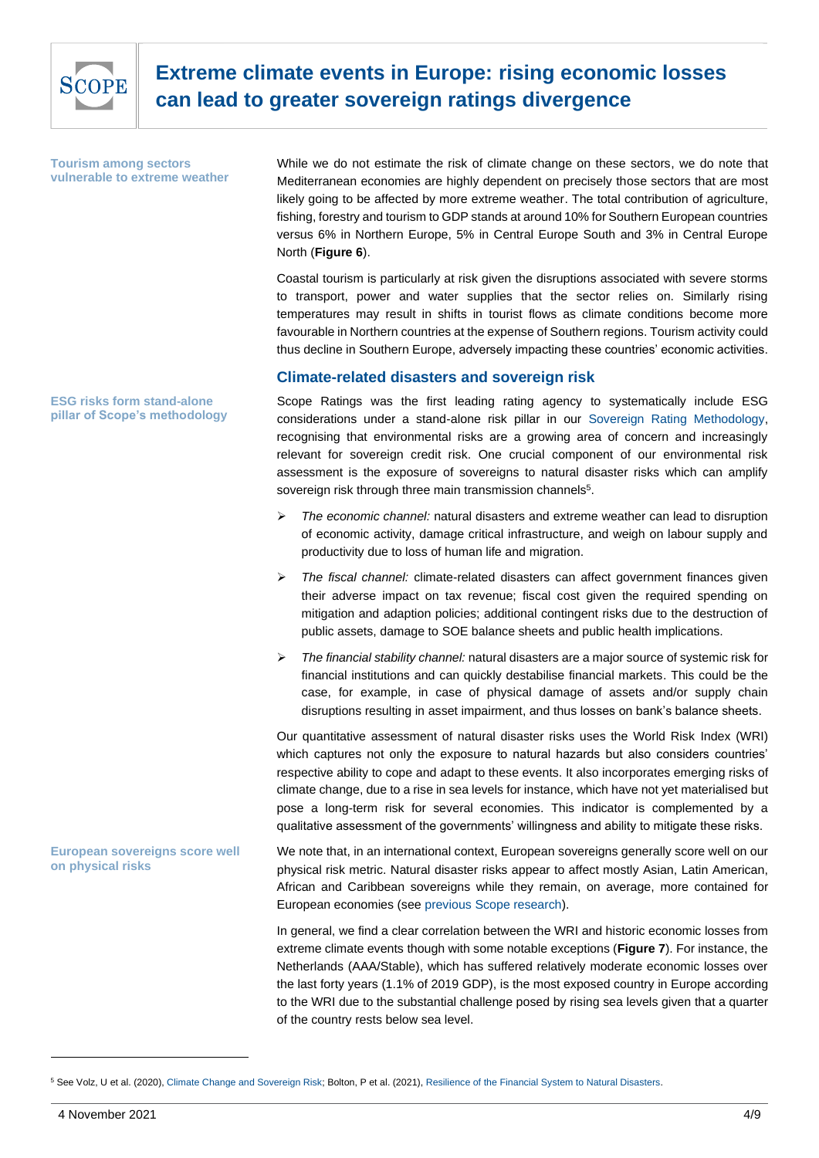

**Tourism among sectors vulnerable to extreme weather** While we do not estimate the risk of climate change on these sectors, we do note that Mediterranean economies are highly dependent on precisely those sectors that are most likely going to be affected by more extreme weather. The total contribution of agriculture, fishing, forestry and tourism to GDP stands at around 10% for Southern European countries versus 6% in Northern Europe, 5% in Central Europe South and 3% in Central Europe North (**Figure 6**).

Coastal tourism is particularly at risk given the disruptions associated with severe storms to transport, power and water supplies that the sector relies on. Similarly rising temperatures may result in shifts in tourist flows as climate conditions become more favourable in Northern countries at the expense of Southern regions. Tourism activity could thus decline in Southern Europe, adversely impacting these countries' economic activities.

## **Climate-related disasters and sovereign risk**

Scope Ratings was the first leading rating agency to systematically include ESG considerations under a stand-alone risk pillar in our [Sovereign Rating Methodology,](https://www.scoperatings.com/ScopeRatingsApi/api/downloadmethodology?id=01508950-119c-4ab5-9182-54fffdc1003f) recognising that environmental risks are a growing area of concern and increasingly relevant for sovereign credit risk. One crucial component of our environmental risk assessment is the exposure of sovereigns to natural disaster risks which can amplify sovereign risk through three main transmission channels<sup>5</sup>.

- ➢ *The economic channel:* natural disasters and extreme weather can lead to disruption of economic activity, damage critical infrastructure, and weigh on labour supply and productivity due to loss of human life and migration.
- ➢ *The fiscal channel:* climate-related disasters can affect government finances given their adverse impact on tax revenue; fiscal cost given the required spending on mitigation and adaption policies; additional contingent risks due to the destruction of public assets, damage to SOE balance sheets and public health implications.
- ➢ *The financial stability channel:* natural disasters are a major source of systemic risk for financial institutions and can quickly destabilise financial markets. This could be the case, for example, in case of physical damage of assets and/or supply chain disruptions resulting in asset impairment, and thus losses on bank's balance sheets.

Our quantitative assessment of natural disaster risks uses the World Risk Index (WRI) which captures not only the exposure to natural hazards but also considers countries' respective ability to cope and adapt to these events. It also incorporates emerging risks of climate change, due to a rise in sea levels for instance, which have not yet materialised but pose a long-term risk for several economies. This indicator is complemented by a qualitative assessment of the governments' willingness and ability to mitigate these risks.

We note that, in an international context, European sovereigns generally score well on our physical risk metric. Natural disaster risks appear to affect mostly Asian, Latin American, African and Caribbean sovereigns while they remain, on average, more contained for European economies (see [previous Scope research\)](https://www.scoperatings.com/ScopeRatingsApi/api/downloadstudy?id=0d595500-df91-43c2-8ffa-3f2e7644b445). **European sovereigns score well on physical risks**

> In general, we find a clear correlation between the WRI and historic economic losses from extreme climate events though with some notable exceptions (**Figure 7**). For instance, the Netherlands (AAA/Stable), which has suffered relatively moderate economic losses over the last forty years (1.1% of 2019 GDP), is the most exposed country in Europe according to the WRI due to the substantial challenge posed by rising sea levels given that a quarter of the country rests below sea level.

**ESG risks form stand-alone pillar of Scope's methodology**

<sup>5</sup> See Volz, U et al. (2020)[, Climate Change and Sovereign Risk;](https://eprints.soas.ac.uk/33524/1/Climate%20Change%20and%20Sovereign%20Risk_final.pdf) Bolton, P et al. (2021), [Resilience of the Financial System to Natural Disasters.](https://voxeu.org/content/resilience-financial-system-natural-disasters)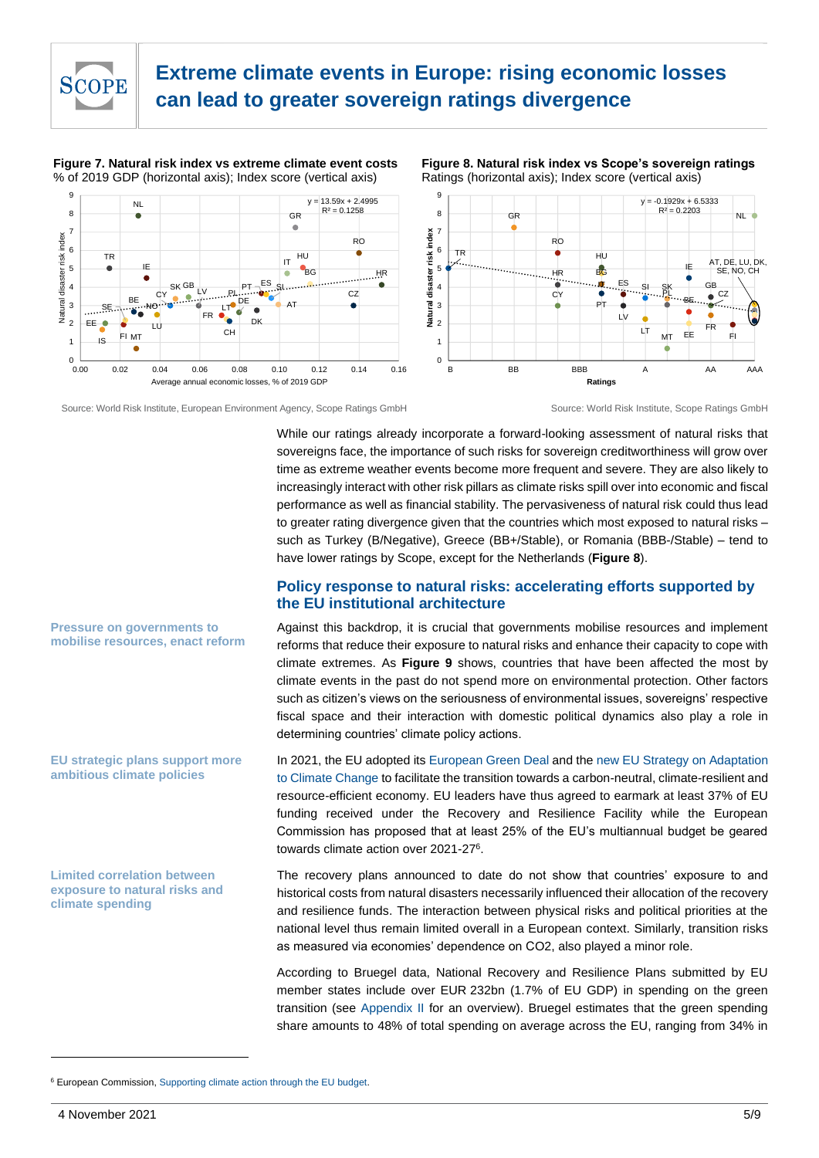

**Figure 7. Natural risk index vs extreme climate event costs** % of 2019 GDP (horizontal axis); Index score (vertical axis)



**Figure 8. Natural risk index vs Scope's sovereign ratings** Ratings (horizontal axis); Index score (vertical axis)



Source: World Risk Institute, European Environment Agency, Scope Ratings GmbH Source: World Risk Institute, Scope Ratings GmbH

While our ratings already incorporate a forward-looking assessment of natural risks that sovereigns face, the importance of such risks for sovereign creditworthiness will grow over time as extreme weather events become more frequent and severe. They are also likely to increasingly interact with other risk pillars as climate risks spill over into economic and fiscal performance as well as financial stability. The pervasiveness of natural risk could thus lead to greater rating divergence given that the countries which most exposed to natural risks – such as Turkey (B/Negative), Greece (BB+/Stable), or Romania (BBB-/Stable) – tend to have lower ratings by Scope, except for the Netherlands (**Figure 8**).

## **Policy response to natural risks: accelerating efforts supported by the EU institutional architecture**

Against this backdrop, it is crucial that governments mobilise resources and implement reforms that reduce their exposure to natural risks and enhance their capacity to cope with climate extremes. As **Figure 9** shows, countries that have been affected the most by climate events in the past do not spend more on environmental protection. Other factors such as citizen's views on the seriousness of environmental issues, sovereigns' respective fiscal space and their interaction with domestic political dynamics also play a role in determining countries' climate policy actions.

In 2021, the EU adopted its [European Green Deal](https://ec.europa.eu/info/sites/default/files/chapeau_communication.pdf) and th[e new EU Strategy on Adaptation](https://ec.europa.eu/clima/sites/clima/files/adaptation/what/docs/eu_strategy_2021.pdf)  [to Climate Change](https://ec.europa.eu/clima/sites/clima/files/adaptation/what/docs/eu_strategy_2021.pdf) to facilitate the transition towards a carbon-neutral, climate-resilient and resource-efficient economy. EU leaders have thus agreed to earmark at least 37% of EU funding received under the Recovery and Resilience Facility while the European Commission has proposed that at least 25% of the EU's multiannual budget be geared towards climate action over 2021-27<sup>6</sup>.

The recovery plans announced to date do not show that countries' exposure to and historical costs from natural disasters necessarily influenced their allocation of the recovery and resilience funds. The interaction between physical risks and political priorities at the national level thus remain limited overall in a European context. Similarly, transition risks as measured via economies' dependence on CO2, also played a minor role.

According to Bruegel data, National Recovery and Resilience Plans submitted by EU member states include over EUR 232bn (1.7% of EU GDP) in spending on the green transition (see [Appendix II](#page-7-0) for an overview). Bruegel estimates that the green spending share amounts to 48% of total spending on average across the EU, ranging from 34% in

**Pressure on governments to mobilise resources, enact reform**

#### **EU strategic plans support more ambitious climate policies**

**Limited correlation between exposure to natural risks and climate spending**

<sup>6</sup> European Commission, [Supporting climate action through the EU budget.](https://ec.europa.eu/clima/policies/budget/mainstreaming_en)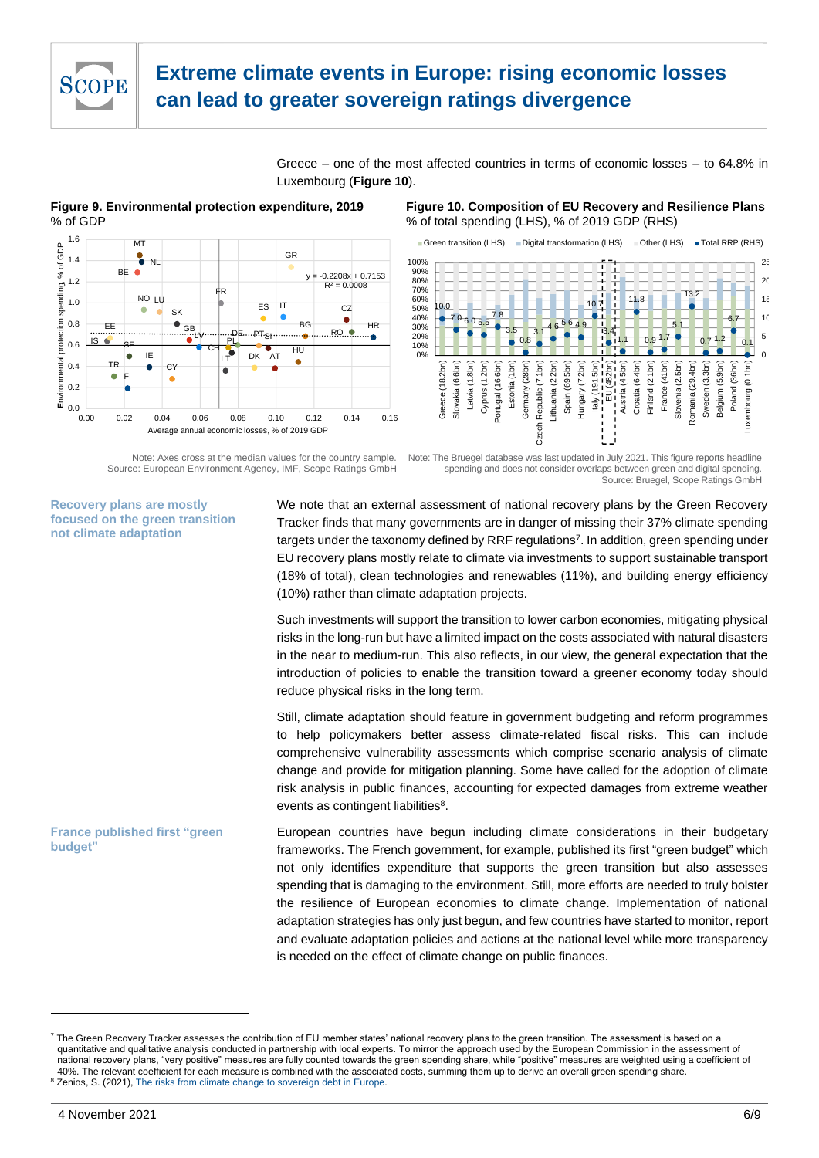

Greece – one of the most affected countries in terms of economic losses – to 64.8% in Luxembourg (**Figure 10**).

**Figure 9. Environmental protection expenditure, 2019** % of GDP



Note: Axes cross at the median values for the country sample. Source: European Environment Agency, IMF, Scope Ratings GmbH **Figure 10. Composition of EU Recovery and Resilience Plans** % of total spending (LHS), % of 2019 GDP (RHS)



Note: The Bruegel database was last updated in July 2021. This figure reports headline spending and does not consider overlaps between green and digital spending. Source: Bruegel, Scope Ratings GmbH

**Recovery plans are mostly focused on the green transition not climate adaptation**

We note that an external assessment of national recovery plans by the Green Recovery Tracker finds that many governments are in danger of missing their 37% climate spending targets under the taxonomy defined by RRF regulations<sup>7</sup>. In addition, green spending under EU recovery plans mostly relate to climate via investments to support sustainable transport (18% of total), clean technologies and renewables (11%), and building energy efficiency (10%) rather than climate adaptation projects.

Such investments will support the transition to lower carbon economies, mitigating physical risks in the long-run but have a limited impact on the costs associated with natural disasters in the near to medium-run. This also reflects, in our view, the general expectation that the introduction of policies to enable the transition toward a greener economy today should reduce physical risks in the long term.

Still, climate adaptation should feature in government budgeting and reform programmes to help policymakers better assess climate-related fiscal risks. This can include comprehensive vulnerability assessments which comprise scenario analysis of climate change and provide for mitigation planning. Some have called for the adoption of climate risk analysis in public finances, accounting for expected damages from extreme weather events as contingent liabilities<sup>8</sup>.

European countries have begun including climate considerations in their budgetary frameworks. The French government, for example, published its first "green budget" which not only identifies expenditure that supports the green transition but also assesses spending that is damaging to the environment. Still, more efforts are needed to truly bolster the resilience of European economies to climate change. Implementation of national adaptation strategies has only just begun, and few countries have started to monitor, report and evaluate adaptation policies and actions at the national level while more transparency is needed on the effect of climate change on public finances. **France published first "green budget"**

<sup>&</sup>lt;sup>7</sup> The Green Recovery Tracker assesses the contribution of EU member states' national recovery plans to the green transition. The assessment is based on a quantitative and qualitative analysis conducted in partnership with local experts. To mirror the approach used by the European Commission in the assessment of national recovery plans, "very positive" measures are fully counted towards the green spending share, while "positive" measures are weighted using a coefficient of 40%. The relevant coefficient for each measure is combined with the associated costs, summing them up to derive an overall green spending share. <sup>8</sup> Zenios, S. (2021), [The risks from climate change to sovereign debt in Europe.](https://www.bruegel.org/2021/07/the-risks-from-climate-change-to-sovereign-debt-in-europe/)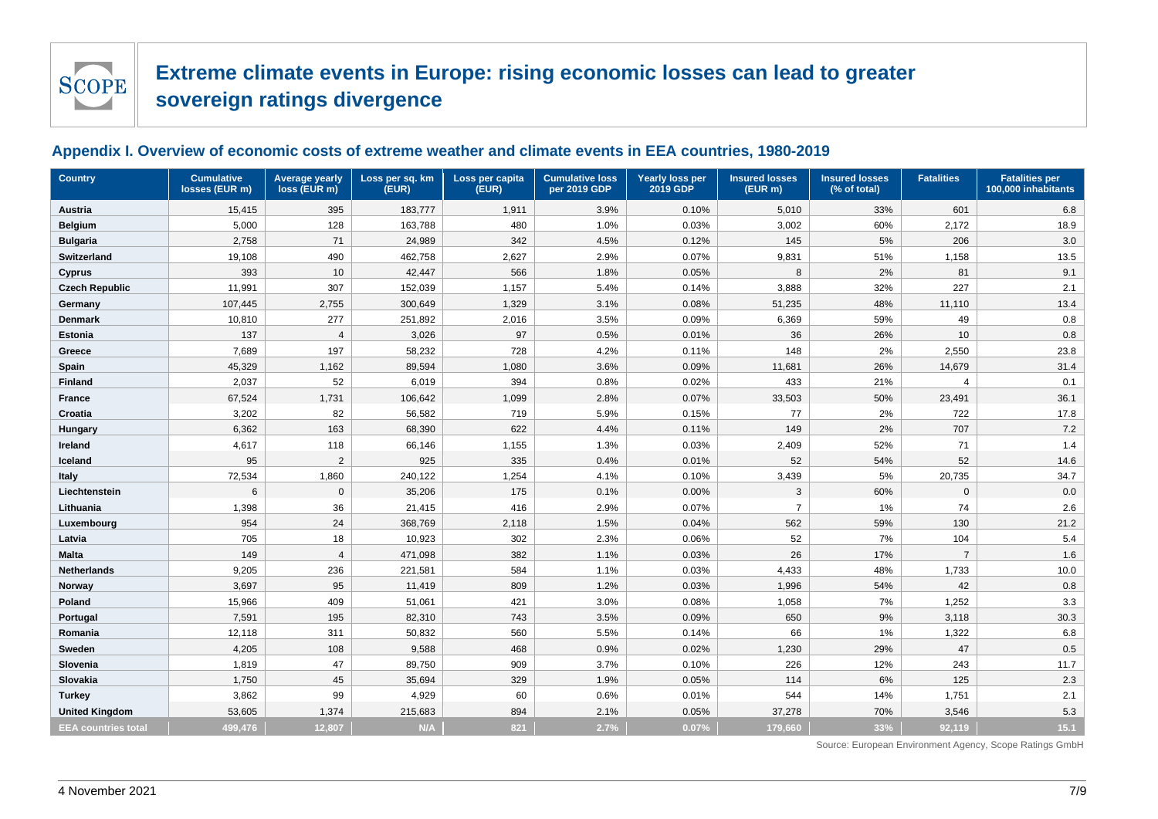

## **Appendix I. Overview of economic costs of extreme weather and climate events in EEA countries, 1980-2019**

<span id="page-6-0"></span>

| <b>Country</b>             | <b>Cumulative</b><br>losses (EUR m) | <b>Average yearly</b><br>loss (EUR m) | Loss per sq. km<br>(EUR) | Loss per capita<br>(EUR) | <b>Cumulative loss</b><br>per 2019 GDP | <b>Insured losses</b><br><b>Yearly loss per</b><br><b>Insured losses</b><br>2019 GDP<br>(EUR m)<br>(% of total) |                | <b>Fatalities</b> | <b>Fatalities per</b><br>100,000 inhabitants |         |  |
|----------------------------|-------------------------------------|---------------------------------------|--------------------------|--------------------------|----------------------------------------|-----------------------------------------------------------------------------------------------------------------|----------------|-------------------|----------------------------------------------|---------|--|
| Austria                    | 15,415                              | 395                                   | 183,777                  | 1,911                    | 3.9%                                   | 0.10%                                                                                                           | 5,010          | 33%               | 601                                          | 6.8     |  |
| <b>Belgium</b>             | 5,000                               | 128                                   | 163,788                  | 480                      | 1.0%                                   | 0.03%                                                                                                           | 3,002          | 60%               | 2,172                                        | 18.9    |  |
| <b>Bulgaria</b>            | 2,758                               | 71                                    | 24,989                   | 342                      | 4.5%                                   | 0.12%                                                                                                           | 145            | 5%                | 206                                          | 3.0     |  |
| <b>Switzerland</b>         | 19,108                              | 490                                   | 462,758                  | 2,627                    | 2.9%                                   | 0.07%                                                                                                           | 9,831          | 51%               | 1,158                                        | 13.5    |  |
| Cyprus                     | 393                                 | 10                                    | 42,447                   | 566                      | 1.8%                                   | 0.05%                                                                                                           | 8              | 2%                | 81                                           | 9.1     |  |
| <b>Czech Republic</b>      | 11,991                              | 307                                   | 152,039                  | 1,157                    | 5.4%                                   | 0.14%                                                                                                           | 3,888          | 32%               | 227                                          | 2.1     |  |
| Germany                    | 107,445                             | 2,755                                 | 300,649                  | 1,329                    | 3.1%                                   | 0.08%                                                                                                           | 51,235         | 48%               | 11,110                                       | 13.4    |  |
| <b>Denmark</b>             | 10,810                              | 277                                   | 251,892                  | 2,016                    | 3.5%                                   | 0.09%                                                                                                           | 6,369          | 59%               | 49                                           | 0.8     |  |
| Estonia                    | 137                                 | $\overline{4}$                        | 3,026                    | 97                       | 0.5%                                   | 0.01%                                                                                                           | 36             | 26%               | 10                                           | $0.8\,$ |  |
| Greece                     | 7,689                               | 197                                   | 58,232                   | 728                      | 4.2%                                   | 0.11%                                                                                                           | 148            | 2%                | 2,550                                        | 23.8    |  |
| Spain                      | 45,329                              | 1,162                                 | 89,594                   | 1,080                    | 3.6%                                   | 0.09%                                                                                                           | 11,681         | 26%               | 14,679                                       | 31.4    |  |
| <b>Finland</b>             | 2,037                               | 52                                    | 6,019                    | 394                      | 0.8%                                   | 0.02%                                                                                                           | 433            | 21%               | $\overline{4}$                               | 0.1     |  |
| <b>France</b>              | 67,524                              | 1,731                                 | 106,642                  | 1,099                    | 2.8%                                   | 0.07%                                                                                                           | 33,503         | 50%               | 23,491                                       | 36.1    |  |
| Croatia                    | 3,202                               | 82                                    | 56,582                   | 719                      | 5.9%                                   | 0.15%                                                                                                           | 77             | 2%                | 722                                          | 17.8    |  |
| Hungary                    | 6,362                               | 163                                   | 68,390                   | 622                      | 4.4%                                   | 0.11%                                                                                                           | 149            | 2%                | 707                                          | 7.2     |  |
| Ireland                    | 4,617                               | 118                                   | 66,146                   | 1,155                    | 1.3%                                   | 0.03%                                                                                                           | 2,409          | 52%               | 71                                           | 1.4     |  |
| Iceland                    | 95                                  | $\overline{2}$                        | 925                      | 335                      | 0.4%                                   | 0.01%                                                                                                           | 52             | 54%               | 52                                           | 14.6    |  |
| <b>Italy</b>               | 72,534                              | 1,860                                 | 240,122                  | 1,254                    | 4.1%                                   | 0.10%                                                                                                           | 3,439          | 5%                | 20,735                                       | 34.7    |  |
| Liechtenstein              | 6                                   | $\mathbf 0$                           | 35,206                   | 175                      | 0.1%                                   | 0.00%                                                                                                           | 3              | 60%               | $\mathbf 0$                                  | 0.0     |  |
| Lithuania                  | 1,398                               | 36                                    | 21,415                   | 416                      | 2.9%                                   | 0.07%                                                                                                           | $\overline{7}$ | $1\%$             | 74                                           | 2.6     |  |
| Luxembourg                 | 954                                 | 24                                    | 368,769                  | 2,118                    | 1.5%                                   | 0.04%                                                                                                           | 562            | 59%               | 130                                          | 21.2    |  |
| Latvia                     | 705                                 | 18                                    | 10,923                   | 302                      | 2.3%                                   | 0.06%                                                                                                           | 52             | 7%                | 104                                          | 5.4     |  |
| <b>Malta</b>               | 149                                 | $\overline{4}$                        | 471,098                  | 382                      | 1.1%                                   | 0.03%                                                                                                           | 26             | 17%               | $\overline{7}$                               | 1.6     |  |
| <b>Netherlands</b>         | 9,205                               | 236                                   | 221,581                  | 584                      | 1.1%                                   | 0.03%                                                                                                           | 4,433          | 48%               | 1,733                                        | 10.0    |  |
| Norway                     | 3,697                               | 95                                    | 11,419                   | 809                      | 1.2%                                   | 0.03%                                                                                                           | 1,996          | 54%               | 42                                           | $0.8\,$ |  |
| Poland                     | 15,966                              | 409                                   | 51,061                   | 421                      | 3.0%                                   | 0.08%                                                                                                           | 1,058          | 7%                | 1,252                                        | 3.3     |  |
| Portugal                   | 7,591                               | 195                                   | 82,310                   | 743                      | 3.5%                                   | 0.09%                                                                                                           | 650            | 9%                | 3,118                                        | 30.3    |  |
| Romania                    | 12,118                              | 311                                   | 50,832                   | 560                      | 5.5%                                   | 0.14%                                                                                                           | 66             | $1\%$             | 1,322                                        | 6.8     |  |
| Sweden                     | 4,205                               | 108                                   | 9,588                    | 468                      | 0.9%                                   | 0.02%                                                                                                           | 1,230          | 29%               | 47                                           | 0.5     |  |
| Slovenia                   | 1,819                               | 47                                    | 89,750                   | 909                      | 3.7%                                   | 0.10%                                                                                                           | 226            | 12%               | 243                                          | 11.7    |  |
| Slovakia                   | 1,750                               | 45                                    | 35,694                   | 329                      | 1.9%                                   | 0.05%                                                                                                           | 114            | 6%                | 125                                          | 2.3     |  |
| <b>Turkey</b>              | 3,862                               | 99                                    | 4,929                    | 60                       | 0.6%                                   | 0.01%                                                                                                           | 544            | 14%               | 1,751                                        | 2.1     |  |
| <b>United Kingdom</b>      | 53,605                              | 1,374                                 | 215,683                  | 894                      | 2.1%                                   | 0.05%                                                                                                           | 37,278         | 70%               | 3,546                                        | 5.3     |  |
| <b>EEA countries total</b> | 499,476                             | 12,807                                | N/A                      | 821                      | 2.7%                                   | 0.07%                                                                                                           | 179,660        | 33%               | 92,119                                       | 15.1    |  |

Source: European Environment Agency, Scope Ratings GmbH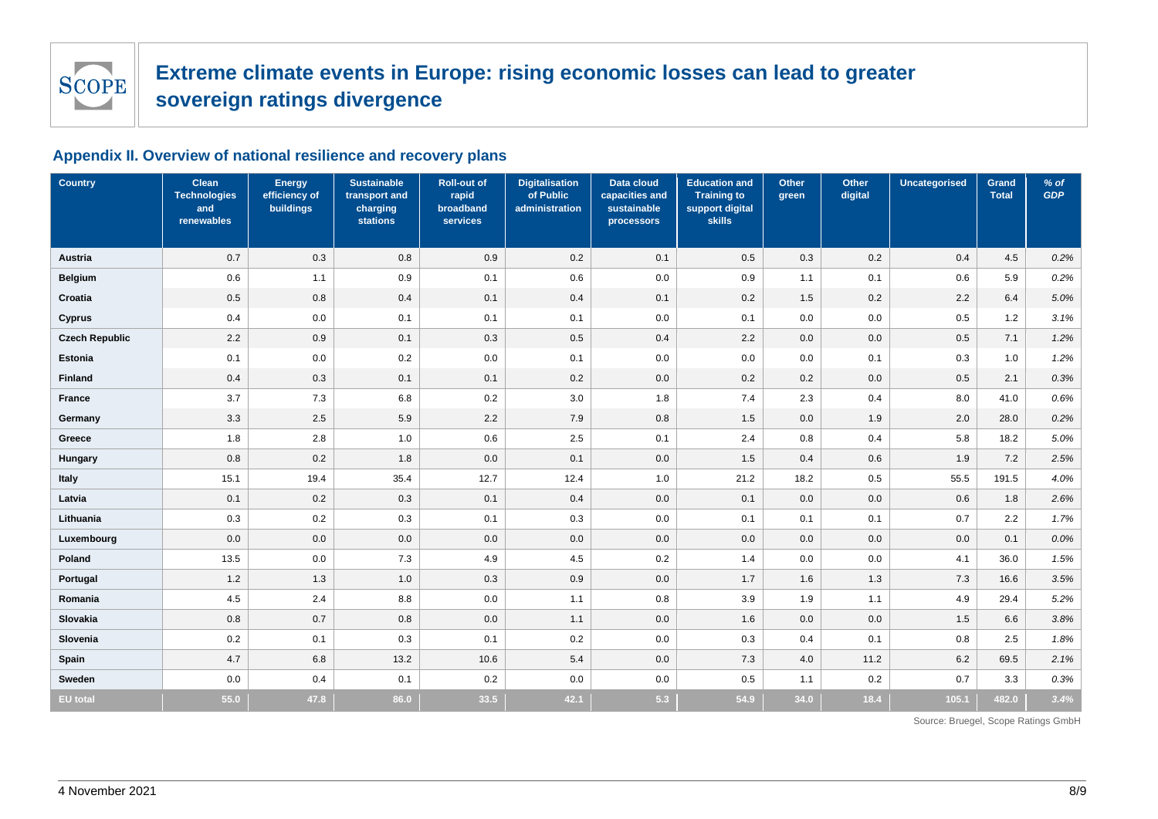

# **Appendix II. Overview of national resilience and recovery plans**

<span id="page-7-0"></span>

| <b>Country</b>        | Clean<br><b>Technologies</b><br>and<br>renewables | <b>Energy</b><br>efficiency of<br>buildings | <b>Sustainable</b><br>transport and<br>charging<br><b>stations</b> | <b>Roll-out of</b><br>rapid<br>broadband<br><b>services</b> | <b>Digitalisation</b><br>of Public<br>administration | Data cloud<br>capacities and<br>sustainable<br>processors | <b>Education and</b><br><b>Training to</b><br>support digital<br>skills | Other<br>green | Other<br>digital | <b>Uncategorised</b> | Grand<br><b>Total</b> | $%$ of<br><b>GDP</b> |
|-----------------------|---------------------------------------------------|---------------------------------------------|--------------------------------------------------------------------|-------------------------------------------------------------|------------------------------------------------------|-----------------------------------------------------------|-------------------------------------------------------------------------|----------------|------------------|----------------------|-----------------------|----------------------|
| Austria               | 0.7                                               | 0.3                                         | 0.8                                                                | 0.9                                                         | 0.2                                                  | 0.1                                                       | 0.5                                                                     | 0.3            | 0.2              | 0.4                  | 4.5                   | 0.2%                 |
| <b>Belgium</b>        | 0.6                                               | 1.1                                         | 0.9                                                                | 0.1                                                         | 0.6                                                  | 0.0                                                       | 0.9                                                                     | 1.1            | 0.1              | 0.6                  | 5.9                   | 0.2%                 |
| Croatia               | 0.5                                               | 0.8                                         | 0.4                                                                | 0.1                                                         | 0.4                                                  | 0.1                                                       | 0.2                                                                     | 1.5            | 0.2              | 2.2                  | 6.4                   | 5.0%                 |
| <b>Cyprus</b>         | 0.4                                               | 0.0                                         | 0.1                                                                | 0.1                                                         | 0.1                                                  | 0.0                                                       | 0.1                                                                     | 0.0            | 0.0              | 0.5                  | 1.2                   | 3.1%                 |
| <b>Czech Republic</b> | 2.2                                               | 0.9                                         | 0.1                                                                | 0.3                                                         | 0.5                                                  | 0.4                                                       | 2.2                                                                     | 0.0            | 0.0              | 0.5                  | 7.1                   | 1.2%                 |
| Estonia               | 0.1                                               | 0.0                                         | 0.2                                                                | 0.0                                                         | 0.1                                                  | 0.0                                                       | 0.0                                                                     | 0.0            | 0.1              | 0.3                  | 1.0                   | 1.2%                 |
| Finland               | 0.4                                               | 0.3                                         | 0.1                                                                | 0.1                                                         | 0.2                                                  | 0.0                                                       | 0.2                                                                     | 0.2            | 0.0              | 0.5                  | 2.1                   | 0.3%                 |
| France                | 3.7                                               | 7.3                                         | 6.8                                                                | 0.2                                                         | 3.0                                                  | 1.8                                                       | 7.4                                                                     | 2.3            | 0.4              | 8.0                  | 41.0                  | 0.6%                 |
| Germany               | 3.3                                               | 2.5                                         | 5.9                                                                | 2.2                                                         | 7.9                                                  | 0.8                                                       | 1.5                                                                     | 0.0            | 1.9              | 2.0                  | 28.0                  | 0.2%                 |
| Greece                | 1.8                                               | 2.8                                         | 1.0                                                                | 0.6                                                         | 2.5                                                  | 0.1                                                       | 2.4                                                                     | 0.8            | 0.4              | 5.8                  | 18.2                  | 5.0%                 |
| Hungary               | 0.8                                               | 0.2                                         | 1.8                                                                | 0.0                                                         | 0.1                                                  | 0.0                                                       | 1.5                                                                     | 0.4            | 0.6              | 1.9                  | 7.2                   | 2.5%                 |
| Italy                 | 15.1                                              | 19.4                                        | 35.4                                                               | 12.7                                                        | 12.4                                                 | 1.0                                                       | 21.2                                                                    | 18.2           | 0.5              | 55.5                 | 191.5                 | 4.0%                 |
| Latvia                | 0.1                                               | 0.2                                         | 0.3                                                                | 0.1                                                         | 0.4                                                  | 0.0                                                       | 0.1                                                                     | 0.0            | 0.0              | 0.6                  | 1.8                   | 2.6%                 |
| Lithuania             | 0.3                                               | 0.2                                         | 0.3                                                                | 0.1                                                         | 0.3                                                  | 0.0                                                       | 0.1                                                                     | 0.1            | 0.1              | 0.7                  | 2.2                   | 1.7%                 |
| Luxembourg            | 0.0                                               | 0.0                                         | 0.0                                                                | 0.0                                                         | 0.0                                                  | 0.0                                                       | 0.0                                                                     | 0.0            | 0.0              | 0.0                  | 0.1                   | 0.0%                 |
| Poland                | 13.5                                              | 0.0                                         | $7.3$                                                              | 4.9                                                         | 4.5                                                  | 0.2                                                       | 1.4                                                                     | 0.0            | 0.0              | 4.1                  | 36.0                  | 1.5%                 |
| Portugal              | $1.2$                                             | 1.3                                         | 1.0                                                                | 0.3                                                         | 0.9                                                  | 0.0                                                       | 1.7                                                                     | 1.6            | 1.3              | 7.3                  | 16.6                  | 3.5%                 |
| Romania               | 4.5                                               | 2.4                                         | 8.8                                                                | 0.0                                                         | 1.1                                                  | 0.8                                                       | 3.9                                                                     | 1.9            | 1.1              | 4.9                  | 29.4                  | 5.2%                 |
| Slovakia              | 0.8                                               | 0.7                                         | 0.8                                                                | 0.0                                                         | 1.1                                                  | 0.0                                                       | 1.6                                                                     | 0.0            | 0.0              | 1.5                  | 6.6                   | 3.8%                 |
| Slovenia              | 0.2                                               | 0.1                                         | 0.3                                                                | 0.1                                                         | 0.2                                                  | 0.0                                                       | 0.3                                                                     | 0.4            | 0.1              | 0.8                  | 2.5                   | 1.8%                 |
| Spain                 | 4.7                                               | 6.8                                         | 13.2                                                               | 10.6                                                        | 5.4                                                  | 0.0                                                       | 7.3                                                                     | 4.0            | 11.2             | 6.2                  | 69.5                  | 2.1%                 |
| Sweden                | 0.0                                               | 0.4                                         | 0.1                                                                | 0.2                                                         | 0.0                                                  | 0.0                                                       | 0.5                                                                     | 1.1            | 0.2              | 0.7                  | 3.3                   | 0.3%                 |
| <b>EU</b> total       | 55.0                                              | 47.8                                        | 86.0                                                               | 33.5                                                        | 42.1                                                 | 5.3                                                       | 54.9                                                                    | 34.0           | 18.4             | 105.1                | 482.0                 | 3.4%                 |

Source: Bruegel, Scope Ratings GmbH